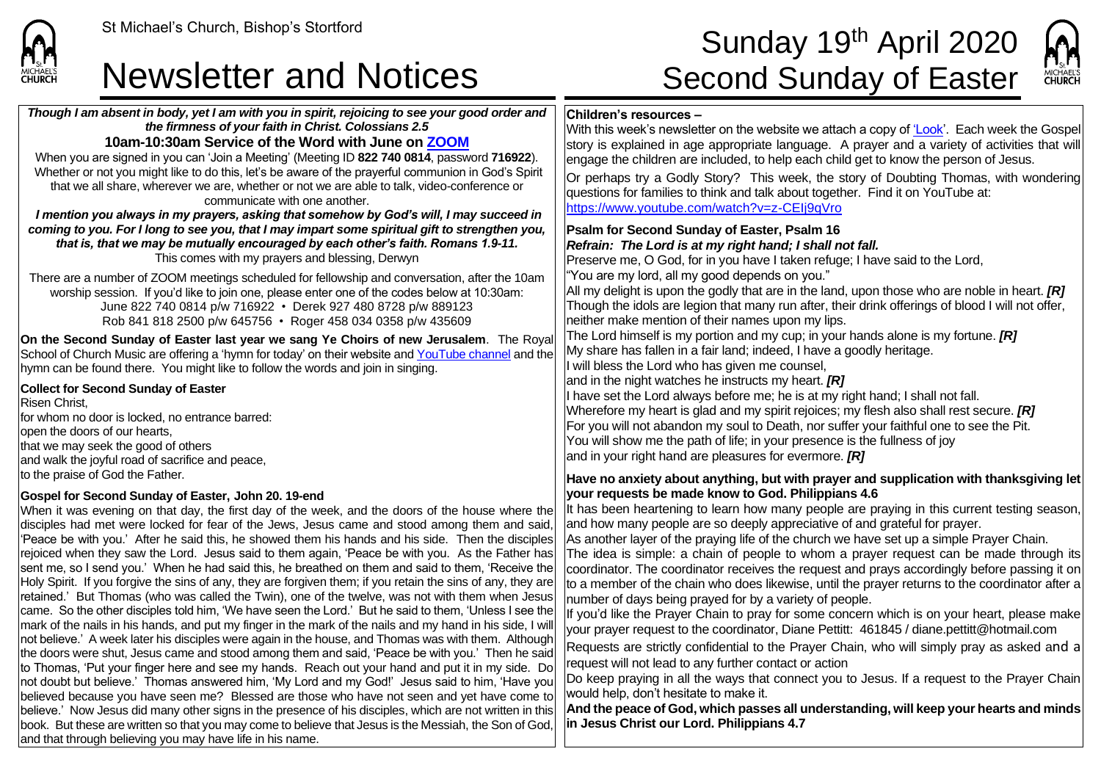

### Newsletter and Notices Second Sunday of Easter

*Though I am absent in body, yet I am with you in spirit, rejoicing to see your good order and the firmness of your faith in Christ. Colossians 2.5* **10am-10:30am Service of the Word with June on [ZOOM](https://zoom.us/signup)** When you are signed in you can 'Join a Meeting' (Meeting ID **822 740 0814**, password **716922**). Whether or not you might like to do this, let's be aware of the prayerful communion in God's Spirit

# St Michael's Church, Bishop's Stortford  $\textsf{Sunday 19}^{\textsf{th}}$  April 2020



#### **Children's resources –**

With this week's newsletter on the website we attach a copy of ['Look'](https://saintmichaelweb.org.uk/Articles/542815/_Newsletter.aspx). Each week the Gospel story is explained in age appropriate language. A prayer and a variety of activities that will engage the children are included, to help each child get to know the person of Jesus.

Or perhaps try a Godly Story? This week, the story of Doubting Thomas, with wondering questions for families to think and talk about together. Find it on YouTube at: <https://www.youtube.com/watch?v=z-CEIj9qVro>

**Psalm for Second Sunday of Easter, Psalm 16**

#### *Refrain: The Lord is at my right hand; I shall not fall.*

Preserve me, O God, for in you have I taken refuge; I have said to the Lord, "You are my lord, all my good depends on you."

All my delight is upon the godly that are in the land, upon those who are noble in heart. *[R]* Though the idols are legion that many run after, their drink offerings of blood I will not offer, neither make mention of their names upon my lips.

The Lord himself is my portion and my cup; in your hands alone is my fortune. *[R]* My share has fallen in a fair land; indeed, I have a goodly heritage.

I will bless the Lord who has given me counsel,

and in the night watches he instructs my heart. *[R]*

I have set the Lord always before me; he is at my right hand; I shall not fall. Wherefore my heart is glad and my spirit rejoices; my flesh also shall rest secure. *[R]* For you will not abandon my soul to Death, nor suffer your faithful one to see the Pit. You will show me the path of life; in your presence is the fullness of joy and in your right hand are pleasures for evermore. *[R]*

#### **Have no anxiety about anything, but with prayer and supplication with thanksgiving let your requests be made know to God. Philippians 4.6**

It has been heartening to learn how many people are praying in this current testing season, and how many people are so deeply appreciative of and grateful for prayer.

As another layer of the praying life of the church we have set up a simple Prayer Chain.

The idea is simple: a chain of people to whom a prayer request can be made through its coordinator. The coordinator receives the request and prays accordingly before passing it on to a member of the chain who does likewise, until the prayer returns to the coordinator after a number of days being prayed for by a variety of people.

If you'd like the Prayer Chain to pray for some concern which is on your heart, please make your prayer request to the coordinator, Diane Pettitt: 461845 / diane.pettitt@hotmail.com

Requests are strictly confidential to the Prayer Chain, who will simply pray as asked and a request will not lead to any further contact or action

Do keep praying in all the ways that connect you to Jesus. If a request to the Prayer Chain would help, don't hesitate to make it.

**And the peace of God, which passes all understanding, will keep your hearts and minds in Jesus Christ our Lord. Philippians 4.7**

that we all share, wherever we are, whether or not we are able to talk, video-conference or communicate with one another. *I mention you always in my prayers, asking that somehow by God's will, I may succeed in coming to you. For I long to see you, that I may impart some spiritual gift to strengthen you, that is, that we may be mutually encouraged by each other's faith. Romans 1.9-11.* This comes with my prayers and blessing, Derwyn There are a number of ZOOM meetings scheduled for fellowship and conversation, after the 10am worship session. If you'd like to join one, please enter one of the codes below at 10:30am: June 822 740 0814 p/w 716922 • Derek 927 480 8728 p/w 889123 Rob 841 818 2500 p/w 645756 • Roger 458 034 0358 p/w 435609 **On the Second Sunday of Easter last year we sang Ye Choirs of new Jerusalem**. The Royal

School of Church Music are offering a 'hymn for today' on their website and [YouTube channel](https://www.youtube.com/watch?v=hysb4xrUDzI) and the hymn can be found there. You might like to follow the words and join in singing.

#### **Collect for Second Sunday of Easter**

Risen Christ, for whom no door is locked, no entrance barred: lopen the doors of our hearts. that we may seek the good of others and walk the joyful road of sacrifice and peace, to the praise of God the Father.

#### **Gospel for Second Sunday of Easter, John 20. 19-end**

When it was evening on that day, the first day of the week, and the doors of the house where the disciples had met were locked for fear of the Jews, Jesus came and stood among them and said, 'Peace be with you.' After he said this, he showed them his hands and his side. Then the disciples rejoiced when they saw the Lord. Jesus said to them again, 'Peace be with you. As the Father has sent me, so I send you.' When he had said this, he breathed on them and said to them, 'Receive the Holy Spirit. If you forgive the sins of any, they are forgiven them; if you retain the sins of any, they are retained.' But Thomas (who was called the Twin), one of the twelve, was not with them when Jesus came. So the other disciples told him, 'We have seen the Lord.' But he said to them, 'Unless I see the mark of the nails in his hands, and put my finger in the mark of the nails and my hand in his side, I will not believe.' A week later his disciples were again in the house, and Thomas was with them. Although the doors were shut, Jesus came and stood among them and said, 'Peace be with you.' Then he said to Thomas, 'Put your finger here and see my hands. Reach out your hand and put it in my side. Do Inot doubt but believe.' Thomas answered him, 'My Lord and my God!' Jesus said to him, 'Have you believed because you have seen me? Blessed are those who have not seen and yet have come to believe.' Now Jesus did many other signs in the presence of his disciples, which are not written in this book. But these are written so that you may come to believe that Jesus is the Messiah, the Son of God, and that through believing you may have life in his name.